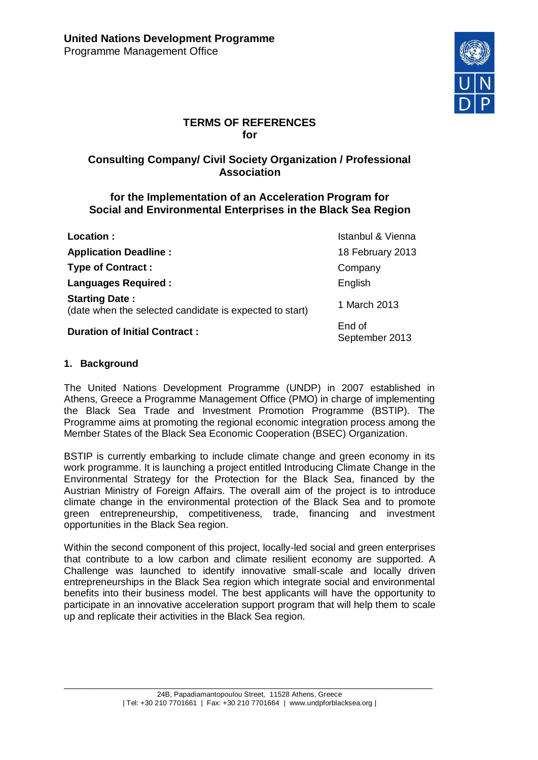

# **TERMS OF REFERENCES for**

# **Consulting Company/ Civil Society Organization / Professional Association**

## **for the Implementation of an Acceleration Program for Social and Environmental Enterprises in the Black Sea Region**

| Location:                                                                        | Istanbul & Vienna        |
|----------------------------------------------------------------------------------|--------------------------|
| <b>Application Deadline:</b>                                                     | 18 February 2013         |
| <b>Type of Contract:</b>                                                         | Company                  |
| <b>Languages Required:</b>                                                       | English                  |
| <b>Starting Date:</b><br>(date when the selected candidate is expected to start) | 1 March 2013             |
| <b>Duration of Initial Contract:</b>                                             | End of<br>September 2013 |

## **1. Background**

The United Nations Development Programme (UNDP) in 2007 established in Athens, Greece a Programme Management Office (PMO) in charge of implementing the Black Sea Trade and Investment Promotion Programme (BSTIP). The Programme aims at promoting the regional economic integration process among the Member States of the Black Sea Economic Cooperation (BSEC) Organization.

BSTIP is currently embarking to include climate change and green economy in its work programme. It is launching a project entitled Introducing Climate Change in the Environmental Strategy for the Protection for the Black Sea, financed by the Austrian Ministry of Foreign Affairs. The overall aim of the project is to introduce climate change in the environmental protection of the Black Sea and to promote green entrepreneurship, competitiveness, trade, financing and investment opportunities in the Black Sea region.

Within the second component of this project, locally-led social and green enterprises that contribute to a low carbon and climate resilient economy are supported. A Challenge was launched to identify innovative small-scale and locally driven entrepreneurships in the Black Sea region which integrate social and environmental benefits into their business model. The best applicants will have the opportunity to participate in an innovative acceleration support program that will help them to scale up and replicate their activities in the Black Sea region.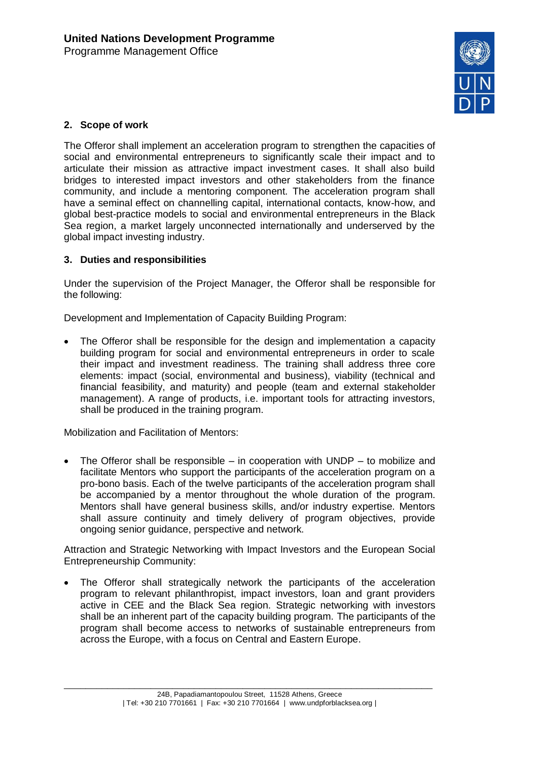

## **2. Scope of work**

The Offeror shall implement an acceleration program to strengthen the capacities of social and environmental entrepreneurs to significantly scale their impact and to articulate their mission as attractive impact investment cases. It shall also build bridges to interested impact investors and other stakeholders from the finance community, and include a mentoring component. The acceleration program shall have a seminal effect on channelling capital, international contacts, know-how, and global best-practice models to social and environmental entrepreneurs in the Black Sea region, a market largely unconnected internationally and underserved by the global impact investing industry.

#### **3. Duties and responsibilities**

Under the supervision of the Project Manager, the Offeror shall be responsible for the following:

Development and Implementation of Capacity Building Program:

 The Offeror shall be responsible for the design and implementation a capacity building program for social and environmental entrepreneurs in order to scale their impact and investment readiness. The training shall address three core elements: impact (social, environmental and business), viability (technical and financial feasibility, and maturity) and people (team and external stakeholder management). A range of products, i.e. important tools for attracting investors, shall be produced in the training program.

Mobilization and Facilitation of Mentors:

 The Offeror shall be responsible – in cooperation with UNDP – to mobilize and facilitate Mentors who support the participants of the acceleration program on a pro-bono basis. Each of the twelve participants of the acceleration program shall be accompanied by a mentor throughout the whole duration of the program. Mentors shall have general business skills, and/or industry expertise. Mentors shall assure continuity and timely delivery of program objectives, provide ongoing senior guidance, perspective and network.

Attraction and Strategic Networking with Impact Investors and the European Social Entrepreneurship Community:

 The Offeror shall strategically network the participants of the acceleration program to relevant philanthropist, impact investors, loan and grant providers active in CEE and the Black Sea region. Strategic networking with investors shall be an inherent part of the capacity building program. The participants of the program shall become access to networks of sustainable entrepreneurs from across the Europe, with a focus on Central and Eastern Europe.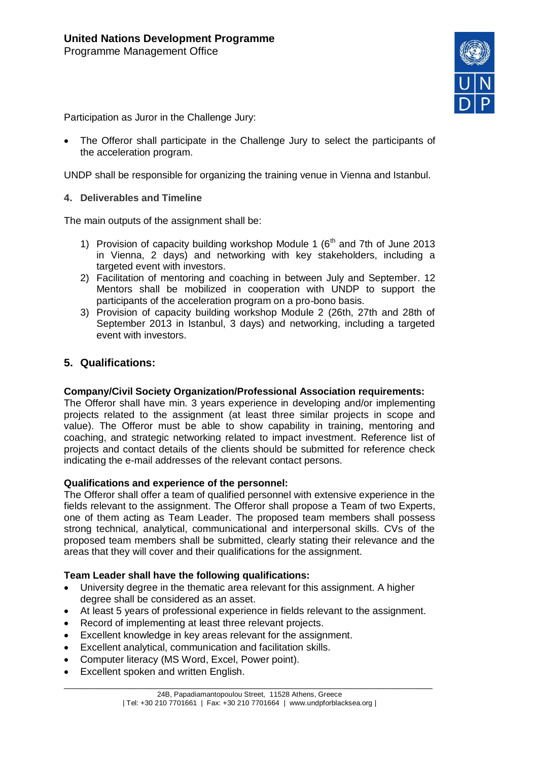

Participation as Juror in the Challenge Jury:

 The Offeror shall participate in the Challenge Jury to select the participants of the acceleration program.

UNDP shall be responsible for organizing the training venue in Vienna and Istanbul.

**4. Deliverables and Timeline**

The main outputs of the assignment shall be:

- 1) Provision of capacity building workshop Module 1  $(6<sup>th</sup>$  and 7th of June 2013 in Vienna, 2 days) and networking with key stakeholders, including a targeted event with investors.
- 2) Facilitation of mentoring and coaching in between July and September. 12 Mentors shall be mobilized in cooperation with UNDP to support the participants of the acceleration program on a pro-bono basis.
- 3) Provision of capacity building workshop Module 2 (26th, 27th and 28th of September 2013 in Istanbul, 3 days) and networking, including a targeted event with investors.

## **5. Qualifications:**

#### **Company/Civil Society Organization/Professional Association requirements:**

The Offeror shall have min. 3 years experience in developing and/or implementing projects related to the assignment (at least three similar projects in scope and value). The Offeror must be able to show capability in training, mentoring and coaching, and strategic networking related to impact investment. Reference list of projects and contact details of the clients should be submitted for reference check indicating the e-mail addresses of the relevant contact persons.

#### **Qualifications and experience of the personnel:**

The Offeror shall offer a team of qualified personnel with extensive experience in the fields relevant to the assignment. The Offeror shall propose a Team of two Experts, one of them acting as Team Leader. The proposed team members shall possess strong technical, analytical, communicational and interpersonal skills. CVs of the proposed team members shall be submitted, clearly stating their relevance and the areas that they will cover and their qualifications for the assignment.

#### **Team Leader shall have the following qualifications:**

- University degree in the thematic area relevant for this assignment. A higher degree shall be considered as an asset.
- At least 5 years of professional experience in fields relevant to the assignment.
- Record of implementing at least three relevant projects.
- Excellent knowledge in key areas relevant for the assignment.
- Excellent analytical, communication and facilitation skills.
- Computer literacy (MS Word, Excel, Power point).
- Excellent spoken and written English.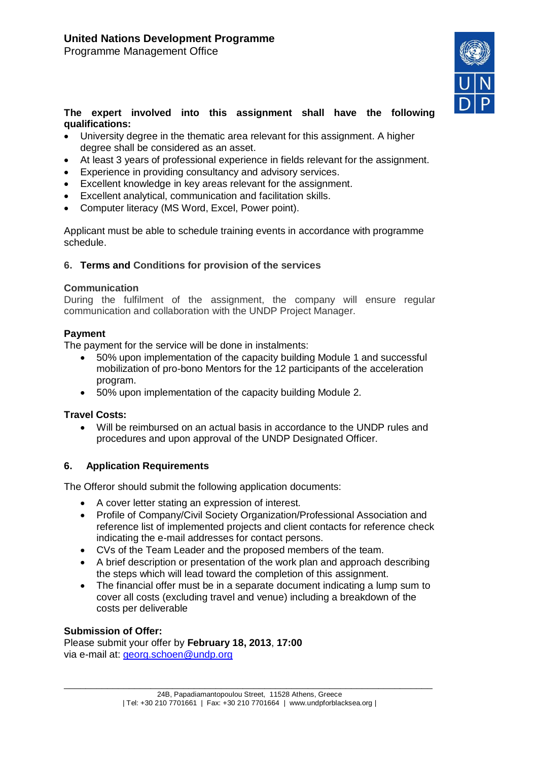Programme Management Office



#### **The expert involved into this assignment shall have the following qualifications:**

- University degree in the thematic area relevant for this assignment. A higher degree shall be considered as an asset.
- At least 3 years of professional experience in fields relevant for the assignment.
- Experience in providing consultancy and advisory services.
- Excellent knowledge in key areas relevant for the assignment.
- Excellent analytical, communication and facilitation skills.
- Computer literacy (MS Word, Excel, Power point).

Applicant must be able to schedule training events in accordance with programme schedule.

## **6. Terms and Conditions for provision of the services**

#### **Communication**

During the fulfilment of the assignment, the company will ensure regular communication and collaboration with the UNDP Project Manager.

## **Payment**

The payment for the service will be done in instalments:

- 50% upon implementation of the capacity building Module 1 and successful mobilization of pro-bono Mentors for the 12 participants of the acceleration program.
- 50% upon implementation of the capacity building Module 2.

#### **Travel Costs:**

 Will be reimbursed on an actual basis in accordance to the UNDP rules and procedures and upon approval of the UNDP Designated Officer.

## **6. Application Requirements**

The Offeror should submit the following application documents:

- A cover letter stating an expression of interest.
- Profile of Company/Civil Society Organization/Professional Association and reference list of implemented projects and client contacts for reference check indicating the e-mail addresses for contact persons.
- CVs of the Team Leader and the proposed members of the team.
- A brief description or presentation of the work plan and approach describing the steps which will lead toward the completion of this assignment.
- The financial offer must be in a separate document indicating a lump sum to cover all costs (excluding travel and venue) including a breakdown of the costs per deliverable

#### **Submission of Offer:**

Please submit your offer by **February 18, 2013**, **17:00** via e-mail at: [georg.schoen@undp.org](mailto:georg.schoen@undp.org)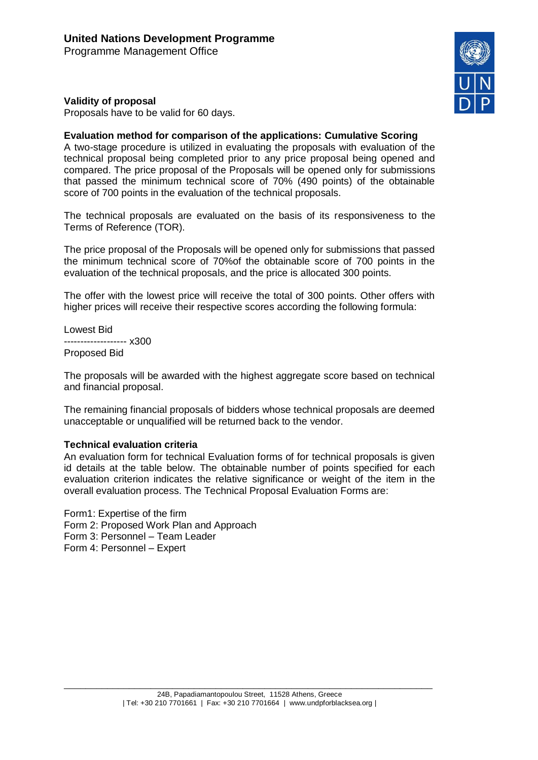## **Validity of proposal**

Proposals have to be valid for 60 days.

#### **Evaluation method for comparison of the applications: Cumulative Scoring**

A two-stage procedure is utilized in evaluating the proposals with evaluation of the technical proposal being completed prior to any price proposal being opened and compared. The price proposal of the Proposals will be opened only for submissions that passed the minimum technical score of 70% (490 points) of the obtainable score of 700 points in the evaluation of the technical proposals.

The technical proposals are evaluated on the basis of its responsiveness to the Terms of Reference (TOR).

The price proposal of the Proposals will be opened only for submissions that passed the minimum technical score of 70%of the obtainable score of 700 points in the evaluation of the technical proposals, and the price is allocated 300 points.

The offer with the lowest price will receive the total of 300 points. Other offers with higher prices will receive their respective scores according the following formula:

Lowest Bid ------------------- x300 Proposed Bid

The proposals will be awarded with the highest aggregate score based on technical and financial proposal.

The remaining financial proposals of bidders whose technical proposals are deemed unacceptable or unqualified will be returned back to the vendor.

#### **Technical evaluation criteria**

An evaluation form for technical Evaluation forms of for technical proposals is given id details at the table below. The obtainable number of points specified for each evaluation criterion indicates the relative significance or weight of the item in the overall evaluation process. The Technical Proposal Evaluation Forms are:

Form1: Expertise of the firm Form 2: Proposed Work Plan and Approach Form 3: Personnel – Team Leader Form 4: Personnel – Expert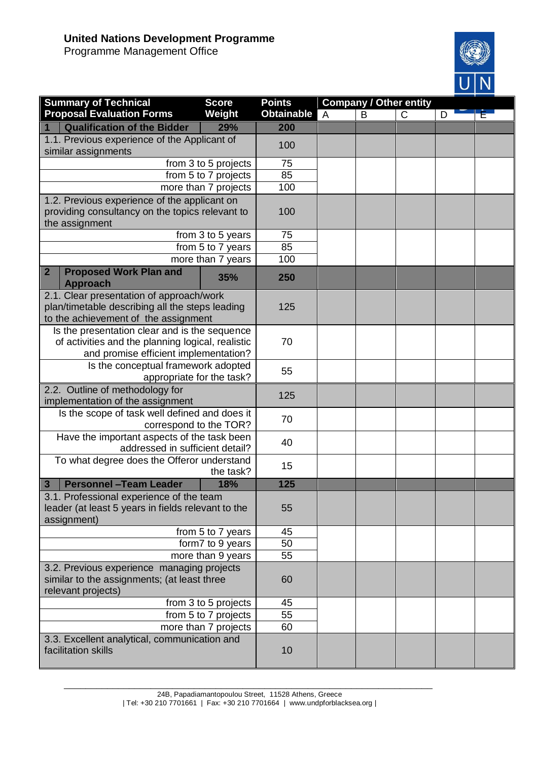# **United Nations Development Programme**

Programme Management Office



| <b>Summary of Technical</b>                                                                    | <b>Score</b>         | <b>Points</b>     | <b>Company / Other entity</b> |   |              |   |  |
|------------------------------------------------------------------------------------------------|----------------------|-------------------|-------------------------------|---|--------------|---|--|
| <b>Proposal Evaluation Forms</b>                                                               | Weight               | <b>Obtainable</b> | A                             | B | $\mathsf{C}$ | D |  |
| <b>Qualification of the Bidder</b>                                                             | 29%                  | 200               |                               |   |              |   |  |
| 1.1. Previous experience of the Applicant of                                                   |                      | 100               |                               |   |              |   |  |
| similar assignments                                                                            |                      |                   |                               |   |              |   |  |
|                                                                                                | from 3 to 5 projects | 75                |                               |   |              |   |  |
|                                                                                                | from 5 to 7 projects | 85                |                               |   |              |   |  |
|                                                                                                | more than 7 projects | 100               |                               |   |              |   |  |
| 1.2. Previous experience of the applicant on                                                   |                      |                   |                               |   |              |   |  |
| providing consultancy on the topics relevant to                                                |                      | 100               |                               |   |              |   |  |
| the assignment                                                                                 | from 3 to 5 years    | 75                |                               |   |              |   |  |
|                                                                                                | from 5 to 7 years    | 85                |                               |   |              |   |  |
|                                                                                                | more than 7 years    | 100               |                               |   |              |   |  |
| <b>Proposed Work Plan and</b><br>$\overline{2}$                                                |                      |                   |                               |   |              |   |  |
| <b>Approach</b>                                                                                | 35%                  | 250               |                               |   |              |   |  |
| 2.1. Clear presentation of approach/work                                                       |                      | 125               |                               |   |              |   |  |
| plan/timetable describing all the steps leading                                                |                      |                   |                               |   |              |   |  |
| to the achievement of the assignment                                                           |                      |                   |                               |   |              |   |  |
| Is the presentation clear and is the sequence                                                  |                      |                   |                               |   |              |   |  |
| of activities and the planning logical, realistic<br>and promise efficient implementation?     |                      | 70                |                               |   |              |   |  |
| Is the conceptual framework adopted                                                            |                      |                   |                               |   |              |   |  |
| appropriate for the task?                                                                      |                      | 55                |                               |   |              |   |  |
| 2.2. Outline of methodology for                                                                |                      |                   |                               |   |              |   |  |
| implementation of the assignment                                                               |                      | 125               |                               |   |              |   |  |
| Is the scope of task well defined and does it                                                  |                      | 70                |                               |   |              |   |  |
| correspond to the TOR?                                                                         |                      |                   |                               |   |              |   |  |
| Have the important aspects of the task been                                                    |                      | 40                |                               |   |              |   |  |
| addressed in sufficient detail?                                                                |                      |                   |                               |   |              |   |  |
| To what degree does the Offeror understand                                                     |                      | 15                |                               |   |              |   |  |
| the task?                                                                                      |                      |                   |                               |   |              |   |  |
| <b>Personnel - Team Leader</b><br>$\mathbf{3}$                                                 | 18%                  | 125               |                               |   |              |   |  |
| 3.1. Professional experience of the team<br>leader (at least 5 years in fields relevant to the |                      | 55                |                               |   |              |   |  |
| assignment)                                                                                    |                      |                   |                               |   |              |   |  |
| from 5 to 7 years                                                                              |                      | 45                |                               |   |              |   |  |
| form7 to 9 years                                                                               |                      | 50                |                               |   |              |   |  |
| more than 9 years                                                                              |                      | 55                |                               |   |              |   |  |
| 3.2. Previous experience managing projects                                                     |                      |                   |                               |   |              |   |  |
| similar to the assignments; (at least three                                                    |                      | 60                |                               |   |              |   |  |
| relevant projects)                                                                             |                      |                   |                               |   |              |   |  |
| from 3 to 5 projects                                                                           |                      | 45                |                               |   |              |   |  |
| from 5 to 7 projects                                                                           |                      | 55                |                               |   |              |   |  |
| more than 7 projects                                                                           |                      | 60                |                               |   |              |   |  |
| 3.3. Excellent analytical, communication and<br>facilitation skills                            |                      | 10                |                               |   |              |   |  |